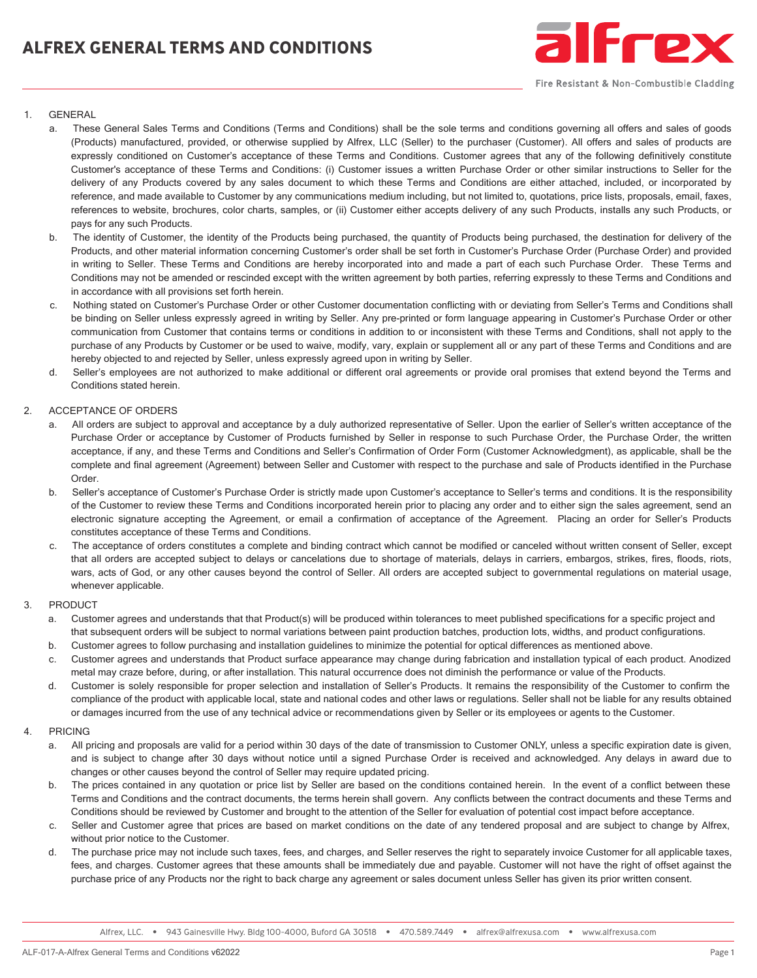

Fire Resistant & Non-Combustible Cladding

# 1. GENERAL

- a. These General Sales Terms and Conditions (Terms and Conditions) shall be the sole terms and conditions governing all offers and sales of goods (Products) manufactured, provided, or otherwise supplied by Alfrex, LLC (Seller) to the purchaser (Customer). All offers and sales of products are expressly conditioned on Customer's acceptance of these Terms and Conditions. Customer agrees that any of the following definitively constitute Customer's acceptance of these Terms and Conditions: (i) Customer issues a written Purchase Order or other similar instructions to Seller for the delivery of any Products covered by any sales document to which these Terms and Conditions are either attached, included, or incorporated by reference, and made available to Customer by any communications medium including, but not limited to, quotations, price lists, proposals, email, faxes, references to website, brochures, color charts, samples, or (ii) Customer either accepts delivery of any such Products, installs any such Products, or pays for any such Products.
- b. The identity of Customer, the identity of the Products being purchased, the quantity of Products being purchased, the destination for delivery of the Products, and other material information concerning Customer's order shall be set forth in Customer's Purchase Order (Purchase Order) and provided in writing to Seller. These Terms and Conditions are hereby incorporated into and made a part of each such Purchase Order. These Terms and Conditions may not be amended or rescinded except with the written agreement by both parties, referring expressly to these Terms and Conditions and in accordance with all provisions set forth herein.
- c. Nothing stated on Customer's Purchase Order or other Customer documentation conflicting with or deviating from Seller's Terms and Conditions shall be binding on Seller unless expressly agreed in writing by Seller. Any pre-printed or form language appearing in Customer's Purchase Order or other communication from Customer that contains terms or conditions in addition to or inconsistent with these Terms and Conditions, shall not apply to the purchase of any Products by Customer or be used to waive, modify, vary, explain or supplement all or any part of these Terms and Conditions and are hereby objected to and rejected by Seller, unless expressly agreed upon in writing by Seller.
- d. Seller's employees are not authorized to make additional or different oral agreements or provide oral promises that extend beyond the Terms and Conditions stated herein.

# 2. ACCEPTANCE OF ORDERS

- a. All orders are subject to approval and acceptance by a duly authorized representative of Seller. Upon the earlier of Seller's written acceptance of the Purchase Order or acceptance by Customer of Products furnished by Seller in response to such Purchase Order, the Purchase Order, the written acceptance, if any, and these Terms and Conditions and Seller's Confirmation of Order Form (Customer Acknowledgment), as applicable, shall be the complete and final agreement (Agreement) between Seller and Customer with respect to the purchase and sale of Products identified in the Purchase Order.
- b. Seller's acceptance of Customer's Purchase Order is strictly made upon Customer's acceptance to Seller's terms and conditions. It is the responsibility of the Customer to review these Terms and Conditions incorporated herein prior to placing any order and to either sign the sales agreement, send an electronic signature accepting the Agreement, or email a confirmation of acceptance of the Agreement. Placing an order for Seller's Products constitutes acceptance of these Terms and Conditions.
- c. The acceptance of orders constitutes a complete and binding contract which cannot be modified or canceled without written consent of Seller, except that all orders are accepted subject to delays or cancelations due to shortage of materials, delays in carriers, embargos, strikes, fires, floods, riots, wars, acts of God, or any other causes beyond the control of Seller. All orders are accepted subject to governmental regulations on material usage, whenever applicable.

### 3. PRODUCT

- a. Customer agrees and understands that that Product(s) will be produced within tolerances to meet published specifications for a specific project and that subsequent orders will be subject to normal variations between paint production batches, production lots, widths, and product configurations.
- b. Customer agrees to follow purchasing and installation guidelines to minimize the potential for optical differences as mentioned above.
- c. Customer agrees and understands that Product surface appearance may change during fabrication and installation typical of each product. Anodized metal may craze before, during, or after installation. This natural occurrence does not diminish the performance or value of the Products.
- d. Customer is solely responsible for proper selection and installation of Seller's Products. It remains the responsibility of the Customer to confirm the compliance of the product with applicable local, state and national codes and other laws or regulations. Seller shall not be liable for any results obtained or damages incurred from the use of any technical advice or recommendations given by Seller or its employees or agents to the Customer.

### 4. PRICING

- a. All pricing and proposals are valid for a period within 30 days of the date of transmission to Customer ONLY, unless a specific expiration date is given, and is subject to change after 30 days without notice until a signed Purchase Order is received and acknowledged. Any delays in award due to changes or other causes beyond the control of Seller may require updated pricing.
- b. The prices contained in any quotation or price list by Seller are based on the conditions contained herein. In the event of a conflict between these Terms and Conditions and the contract documents, the terms herein shall govern. Any conflicts between the contract documents and these Terms and Conditions should be reviewed by Customer and brought to the attention of the Seller for evaluation of potential cost impact before acceptance.
- c. Seller and Customer agree that prices are based on market conditions on the date of any tendered proposal and are subject to change by Alfrex, without prior notice to the Customer.
- d. The purchase price may not include such taxes, fees, and charges, and Seller reserves the right to separately invoice Customer for all applicable taxes, fees, and charges. Customer agrees that these amounts shall be immediately due and payable. Customer will not have the right of offset against the purchase price of any Products nor the right to back charge any agreement or sales document unless Seller has given its prior written consent.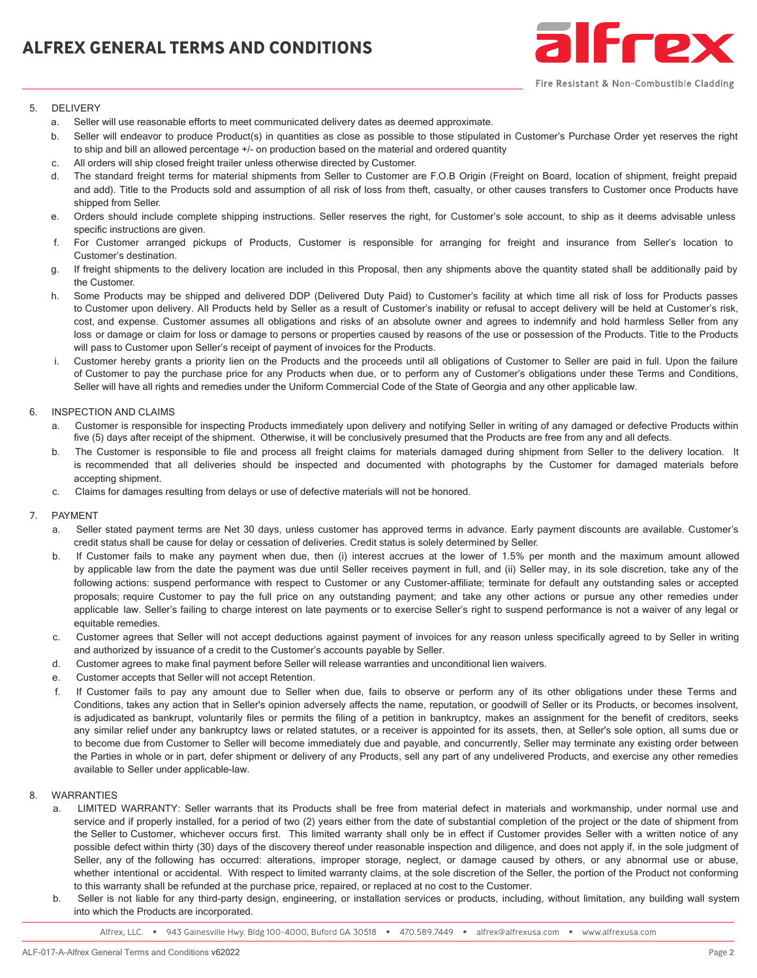

## 5. DELIVERY

- a. Seller will use reasonable efforts to meet communicated delivery dates as deemed approximate.
- b. Seller will endeavor to produce Product(s) in quantities as close as possible to those stipulated in Customer's Purchase Order yet reserves the right to ship and bill an allowed percentage +/- on production based on the material and ordered quantity
- c. All orders will ship closed freight trailer unless otherwise directed by Customer.
- d. The standard freight terms for material shipments from Seller to Customer are F.O.B Origin (Freight on Board, location of shipment, freight prepaid and add). Title to the Products sold and assumption of all risk of loss from theft, casualty, or other causes transfers to Customer once Products have shipped from Seller.
- e. Orders should include complete shipping instructions. Seller reserves the right, for Customer's sole account, to ship as it deems advisable unless specific instructions are given.
- f. For Customer arranged pickups of Products, Customer is responsible for arranging for freight and insurance from Seller's location to Customer's destination.
- g. If freight shipments to the delivery location are included in this Proposal, then any shipments above the quantity stated shall be additionally paid by the Customer.
- h. Some Products may be shipped and delivered DDP (Delivered Duty Paid) to Customer's facility at which time all risk of loss for Products passes to Customer upon delivery. All Products held by Seller as a result of Customer's inability or refusal to accept delivery will be held at Customer's risk, cost, and expense. Customer assumes all obligations and risks of an absolute owner and agrees to indemnify and hold harmless Seller from any loss or damage or claim for loss or damage to persons or properties caused by reasons of the use or possession of the Products. Title to the Products will pass to Customer upon Seller's receipt of payment of invoices for the Products.
- i. Customer hereby grants a priority lien on the Products and the proceeds until all obligations of Customer to Seller are paid in full. Upon the failure of Customer to pay the purchase price for any Products when due, or to perform any of Customer's obligations under these Terms and Conditions, Seller will have all rights and remedies under the Uniform Commercial Code of the State of Georgia and any other applicable law.

# 6. INSPECTION AND CLAIMS

- a. Customer is responsible for inspecting Products immediately upon delivery and notifying Seller in writing of any damaged or defective Products within five (5) days after receipt of the shipment. Otherwise, it will be conclusively presumed that the Products are free from any and all defects.
- b. The Customer is responsible to file and process all freight claims for materials damaged during shipment from Seller to the delivery location. It is recommended that all deliveries should be inspected and documented with photographs by the Customer for damaged materials before accepting shipment.
- c. Claims for damages resulting from delays or use of defective materials will not be honored.

### 7. PAYMENT

- a. Seller stated payment terms are Net 30 days, unless customer has approved terms in advance. Early payment discounts are available. Customer's credit status shall be cause for delay or cessation of deliveries. Credit status is solely determined by Seller.
- b. If Customer fails to make any payment when due, then (i) interest accrues at the lower of 1.5% per month and the maximum amount allowed by applicable law from the date the payment was due until Seller receives payment in full, and (ii) Seller may, in its sole discretion, take any of the following actions: suspend performance with respect to Customer or any Customer-affiliate; terminate for default any outstanding sales or accepted proposals; require Customer to pay the full price on any outstanding payment; and take any other actions or pursue any other remedies under applicable law. Seller's failing to charge interest on late payments or to exercise Seller's right to suspend performance is not a waiver of any legal or equitable remedies.
- c. Customer agrees that Seller will not accept deductions against payment of invoices for any reason unless specifically agreed to by Seller in writing and authorized by issuance of a credit to the Customer's accounts payable by Seller.
- d. Customer agrees to make final payment before Seller will release warranties and unconditional lien waivers.
- e. Customer accepts that Seller will not accept Retention.
- f. If Customer fails to pay any amount due to Seller when due, fails to observe or perform any of its other obligations under these Terms and Conditions, takes any action that in Seller's opinion adversely affects the name, reputation, or goodwill of Seller or its Products, or becomes insolvent, is adjudicated as bankrupt, voluntarily files or permits the filing of a petition in bankruptcy, makes an assignment for the benefit of creditors, seeks any similar relief under any bankruptcy laws or related statutes, or a receiver is appointed for its assets, then, at Seller's sole option, all sums due or to become due from Customer to Seller will become immediately due and payable, and concurrently, Seller may terminate any existing order between the Parties in whole or in part, defer shipment or delivery of any Products, sell any part of any undelivered Products, and exercise any other remedies available to Seller under applicable-law.

### 8. WARRANTIES

- a. LIMITED WARRANTY: Seller warrants that its Products shall be free from material defect in materials and workmanship, under normal use and service and if properly installed, for a period of two (2) years either from the date of substantial completion of the project or the date of shipment from the Seller to Customer, whichever occurs first. This limited warranty shall only be in effect if Customer provides Seller with a written notice of any possible defect within thirty (30) days of the discovery thereof under reasonable inspection and diligence, and does not apply if, in the sole judgment of Seller, any of the following has occurred: alterations, improper storage, neglect, or damage caused by others, or any abnormal use or abuse, whether intentional or accidental. With respect to limited warranty claims, at the sole discretion of the Seller, the portion of the Product not conforming to this warranty shall be refunded at the purchase price, repaired, or replaced at no cost to the Customer.
- b. Seller is not liable for any third-party design, engineering, or installation services or products, including, without limitation, any building wall system into which the Products are incorporated.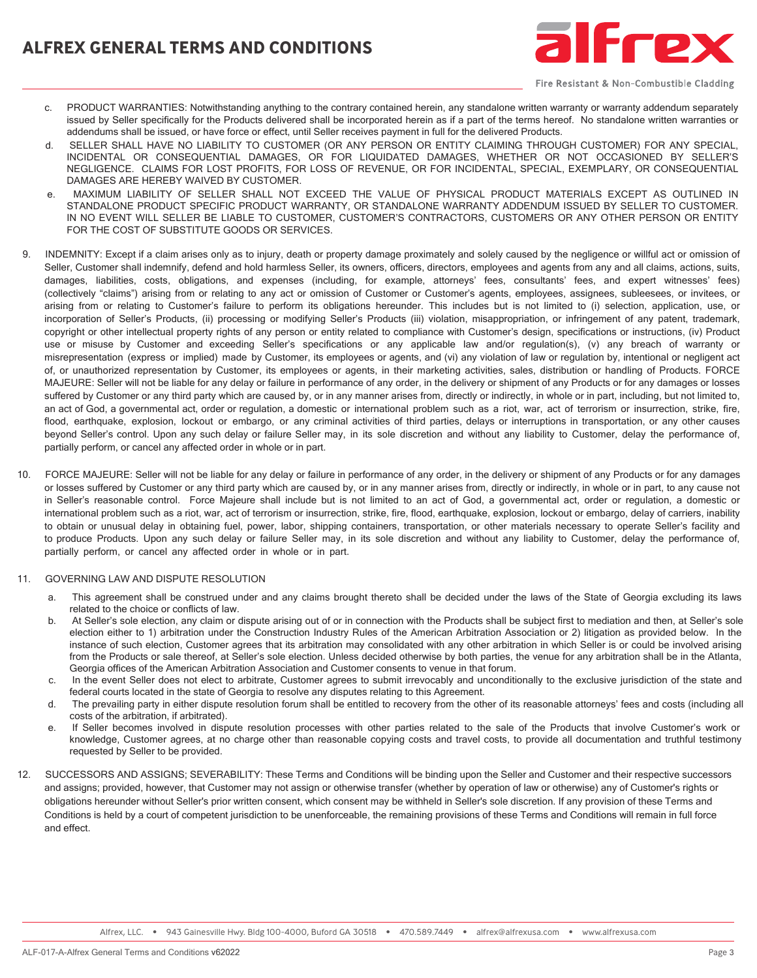

Fire Resistant & Non-Combustible Cladding

- c. PRODUCT WARRANTIES: Notwithstanding anything to the contrary contained herein, any standalone written warranty or warranty addendum separately issued by Seller specifically for the Products delivered shall be incorporated herein as if a part of the terms hereof. No standalone written warranties or addendums shall be issued, or have force or effect, until Seller receives payment in full for the delivered Products.
- d. SELLER SHALL HAVE NO LIABILITY TO CUSTOMER (OR ANY PERSON OR ENTITY CLAIMING THROUGH CUSTOMER) FOR ANY SPECIAL, INCIDENTAL OR CONSEQUENTIAL DAMAGES, OR FOR LIQUIDATED DAMAGES, WHETHER OR NOT OCCASIONED BY SELLER'S NEGLIGENCE. CLAIMS FOR LOST PROFITS, FOR LOSS OF REVENUE, OR FOR INCIDENTAL, SPECIAL, EXEMPLARY, OR CONSEQUENTIAL DAMAGES ARE HEREBY WAIVED BY CUSTOMER.
- e. MAXIMUM LIABILITY OF SELLER SHALL NOT EXCEED THE VALUE OF PHYSICAL PRODUCT MATERIALS EXCEPT AS OUTLINED IN STANDALONE PRODUCT SPECIFIC PRODUCT WARRANTY, OR STANDALONE WARRANTY ADDENDUM ISSUED BY SELLER TO CUSTOMER. IN NO EVENT WILL SELLER BE LIABLE TO CUSTOMER, CUSTOMER'S CONTRACTORS, CUSTOMERS OR ANY OTHER PERSON OR ENTITY FOR THE COST OF SUBSTITUTE GOODS OR SERVICES.
- 9. INDEMNITY: Except if a claim arises only as to injury, death or property damage proximately and solely caused by the negligence or willful act or omission of Seller, Customer shall indemnify, defend and hold harmless Seller, its owners, officers, directors, employees and agents from any and all claims, actions, suits, damages, liabilities, costs, obligations, and expenses (including, for example, attorneys' fees, consultants' fees, and expert witnesses' fees) (collectively "claims") arising from or relating to any act or omission of Customer or Customer's agents, employees, assignees, subleesees, or invitees, or arising from or relating to Customer's failure to perform its obligations hereunder. This includes but is not limited to (i) selection, application, use, or incorporation of Seller's Products, (ii) processing or modifying Seller's Products (iii) violation, misappropriation, or infringement of any patent, trademark, copyright or other intellectual property rights of any person or entity related to compliance with Customer's design, specifications or instructions, (iv) Product use or misuse by Customer and exceeding Seller's specifications or any applicable law and/or regulation(s), (v) any breach of warranty or misrepresentation (express or implied) made by Customer, its employees or agents, and (vi) any violation of law or regulation by, intentional or negligent act of, or unauthorized representation by Customer, its employees or agents, in their marketing activities, sales, distribution or handling of Products. FORCE MAJEURE: Seller will not be liable for any delay or failure in performance of any order, in the delivery or shipment of any Products or for any damages or losses suffered by Customer or any third party which are caused by, or in any manner arises from, directly or indirectly, in whole or in part, including, but not limited to, an act of God, a governmental act, order or regulation, a domestic or international problem such as a riot, war, act of terrorism or insurrection, strike, fire, flood, earthquake, explosion, lockout or embargo, or any criminal activities of third parties, delays or interruptions in transportation, or any other causes beyond Seller's control. Upon any such delay or failure Seller may, in its sole discretion and without any liability to Customer, delay the performance of, partially perform, or cancel any affected order in whole or in part.
- 10. FORCE MAJEURE: Seller will not be liable for any delay or failure in performance of any order, in the delivery or shipment of any Products or for any damages or losses suffered by Customer or any third party which are caused by, or in any manner arises from, directly or indirectly, in whole or in part, to any cause not in Seller's reasonable control. Force Majeure shall include but is not limited to an act of God, a governmental act, order or regulation, a domestic or international problem such as a riot, war, act of terrorism or insurrection, strike, fire, flood, earthquake, explosion, lockout or embargo, delay of carriers, inability to obtain or unusual delay in obtaining fuel, power, labor, shipping containers, transportation, or other materials necessary to operate Seller's facility and to produce Products. Upon any such delay or failure Seller may, in its sole discretion and without any liability to Customer, delay the performance of, partially perform, or cancel any affected order in whole or in part.

### 11. GOVERNING LAW AND DISPUTE RESOLUTION

- a. This agreement shall be construed under and any claims brought thereto shall be decided under the laws of the State of Georgia excluding its laws related to the choice or conflicts of law.
- b. At Seller's sole election, any claim or dispute arising out of or in connection with the Products shall be subject first to mediation and then, at Seller's sole election either to 1) arbitration under the Construction Industry Rules of the American Arbitration Association or 2) litigation as provided below. In the instance of such election, Customer agrees that its arbitration may consolidated with any other arbitration in which Seller is or could be involved arising from the Products or sale thereof, at Seller's sole election. Unless decided otherwise by both parties, the venue for any arbitration shall be in the Atlanta, Georgia offices of the American Arbitration Association and Customer consents to venue in that forum.
- c. In the event Seller does not elect to arbitrate, Customer agrees to submit irrevocably and unconditionally to the exclusive jurisdiction of the state and federal courts located in the state of Georgia to resolve any disputes relating to this Agreement.
- d. The prevailing party in either dispute resolution forum shall be entitled to recovery from the other of its reasonable attorneys' fees and costs (including all costs of the arbitration, if arbitrated).
- e. If Seller becomes involved in dispute resolution processes with other parties related to the sale of the Products that involve Customer's work or knowledge, Customer agrees, at no charge other than reasonable copying costs and travel costs, to provide all documentation and truthful testimony requested by Seller to be provided.
- 12. SUCCESSORS AND ASSIGNS; SEVERABILITY: These Terms and Conditions will be binding upon the Seller and Customer and their respective successors and assigns; provided, however, that Customer may not assign or otherwise transfer (whether by operation of law or otherwise) any of Customer's rights or obligations hereunder without Seller's prior written consent, which consent may be withheld in Seller's sole discretion. If any provision of these Terms and Conditions is held by a court of competent jurisdiction to be unenforceable, the remaining provisions of these Terms and Conditions will remain in full force and effect.